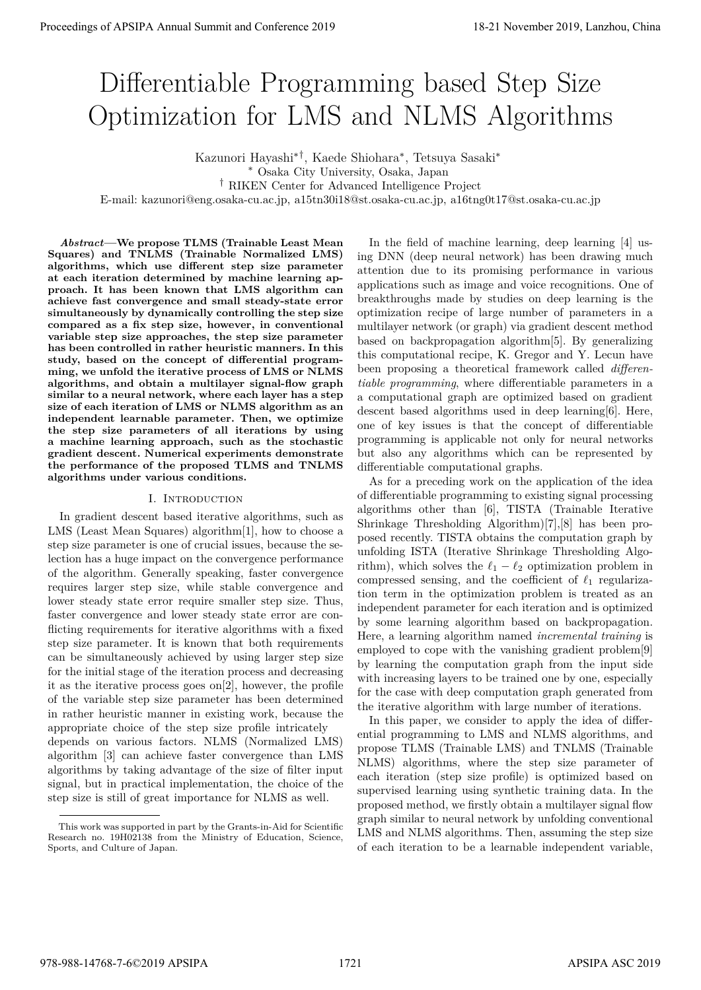# Differentiable Programming based Step Size Optimization for LMS and NLMS Algorithms

Kazunori Hayashi*∗†*, Kaede Shiohara*∗* , Tetsuya Sasaki*∗*

*∗* Osaka City University, Osaka, Japan

*†* RIKEN Center for Advanced Intelligence Project

E-mail: kazunori@eng.osaka-cu.ac.jp, a15tn30i18@st.osaka-cu.ac.jp, a16tng0t17@st.osaka-cu.ac.jp

*Abstract***—We propose TLMS (Trainable Least Mean Squares) and TNLMS (Trainable Normalized LMS) algorithms, which use different step size parameter at each iteration determined by machine learning approach. It has been known that LMS algorithm can achieve fast convergence and small steady-state error simultaneously by dynamically controlling the step size compared as a fix step size, however, in conventional variable step size approaches, the step size parameter has been controlled in rather heuristic manners. In this study, based on the concept of differential programming, we unfold the iterative process of LMS or NLMS algorithms, and obtain a multilayer signal-flow graph similar to a neural network, where each layer has a step size of each iteration of LMS or NLMS algorithm as an independent learnable parameter. Then, we optimize the step size parameters of all iterations by using a machine learning approach, such as the stochastic gradient descent. Numerical experiments demonstrate the performance of the proposed TLMS and TNLMS algorithms under various conditions.**

# I. Introduction

In gradient descent based iterative algorithms, such as LMS (Least Mean Squares) algorithm[1], how to choose a step size parameter is one of crucial issues, because the selection has a huge impact on the convergence performance of the algorithm. Generally speaking, faster convergence requires larger step size, while stable convergence and lower steady state error require smaller step size. Thus, faster convergence and lower steady state error are conflicting requirements for iterative algorithms with a fixed step size parameter. It is known that both requirements can be simultaneously achieved by using larger step size for the initial stage of the iteration process and decreasing it as the iterative process goes on[2], however, the profile of the variable step size parameter has been determined in rather heuristic manner in existing work, because the appropriate choice of the step size profile intricately depends on various factors. NLMS (Normalized LMS) algorithm [3] can achieve faster convergence than LMS algorithms by taking advantage of the size of filter input signal, but in practical implementation, the choice of the step size is still of great importance for NLMS as well. **Proceedings of APSIPA Annual Summit and Conference 2019**<br> **Difference 2019**<br> **Difference 2019**<br> **Conference 2019**<br> **Conference 2019**<br> **Conference 2019**<br> **Conference 2019**<br> **Conference 2019**<br> **Conference 2019**<br> **Conferenc** 

In the field of machine learning, deep learning [4] using DNN (deep neural network) has been drawing much attention due to its promising performance in various applications such as image and voice recognitions. One of breakthroughs made by studies on deep learning is the optimization recipe of large number of parameters in a multilayer network (or graph) via gradient descent method based on backpropagation algorithm[5]. By generalizing this computational recipe, K. Gregor and Y. Lecun have been proposing a theoretical framework called *differentiable programming*, where differentiable parameters in a a computational graph are optimized based on gradient descent based algorithms used in deep learning[6]. Here, one of key issues is that the concept of differentiable programming is applicable not only for neural networks but also any algorithms which can be represented by differentiable computational graphs.

As for a preceding work on the application of the idea of differentiable programming to existing signal processing algorithms other than [6], TISTA (Trainable Iterative Shrinkage Thresholding Algorithm)[7],[8] has been proposed recently. TISTA obtains the computation graph by unfolding ISTA (Iterative Shrinkage Thresholding Algorithm), which solves the  $\ell_1 - \ell_2$  optimization problem in compressed sensing, and the coefficient of *ℓ*<sup>1</sup> regularization term in the optimization problem is treated as an independent parameter for each iteration and is optimized by some learning algorithm based on backpropagation. Here, a learning algorithm named *incremental training* is employed to cope with the vanishing gradient problem[9] by learning the computation graph from the input side with increasing layers to be trained one by one, especially for the case with deep computation graph generated from the iterative algorithm with large number of iterations.

In this paper, we consider to apply the idea of differential programming to LMS and NLMS algorithms, and propose TLMS (Trainable LMS) and TNLMS (Trainable NLMS) algorithms, where the step size parameter of each iteration (step size profile) is optimized based on supervised learning using synthetic training data. In the proposed method, we firstly obtain a multilayer signal flow graph similar to neural network by unfolding conventional LMS and NLMS algorithms. Then, assuming the step size of each iteration to be a learnable independent variable,

This work was supported in part by the Grants-in-Aid for Scientific Research no. 19H02138 from the Ministry of Education, Science, Sports, and Culture of Japan.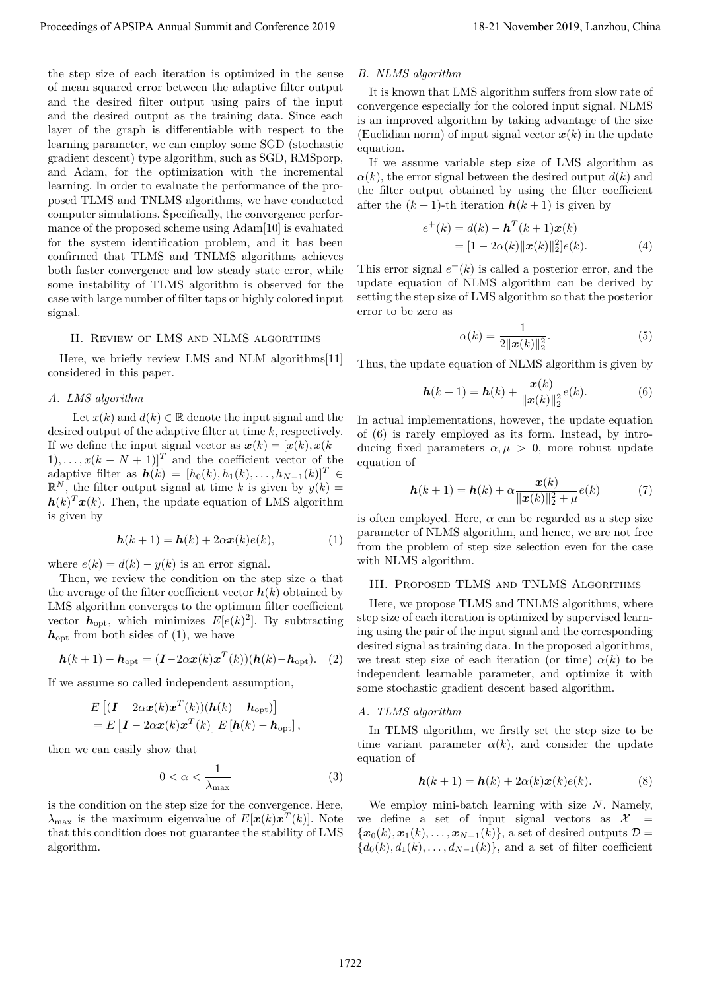the step size of each iteration is optimized in the sense of mean squared error between the adaptive filter output and the desired filter output using pairs of the input and the desired output as the training data. Since each layer of the graph is differentiable with respect to the learning parameter, we can employ some SGD (stochastic gradient descent) type algorithm, such as SGD, RMSporp, and Adam, for the optimization with the incremental learning. In order to evaluate the performance of the proposed TLMS and TNLMS algorithms, we have conducted computer simulations. Specifically, the convergence performance of the proposed scheme using Adam[10] is evaluated for the system identification problem, and it has been confirmed that TLMS and TNLMS algorithms achieves both faster convergence and low steady state error, while some instability of TLMS algorithm is observed for the case with large number of filter taps or highly colored input signal. Proceeding of APSIPA Annual Summit and Conference 2019<br>
He are not all the conference 2019 in the conference 2019 in the conference 2019 in the conference 2019 in the conference 2019 in the conference 2019, and the confer

# II. Review of LMS and NLMS algorithms

Here, we briefly review LMS and NLM algorithms[11] considered in this paper.

## *A. LMS algorithm*

Let  $x(k)$  and  $d(k) \in \mathbb{R}$  denote the input signal and the desired output of the adaptive filter at time *k*, respectively. If we define the input signal vector as  $x(k) = [x(k), x(k (1), \ldots, x(k-N+1)$ <sup>T</sup> and the coefficient vector of the  $\mathbf{a}_{\text{adaptive filter}}$  as  $\mathbf{h}(k) = [h_0(k), h_1(k), \ldots, h_{N-1}(k)]^T \in \mathbb{R}$  $\mathbb{R}^N$ , the filter output signal at time *k* is given by  $y(k) =$  $h(k)^T x(k)$ . Then, the update equation of LMS algorithm is given by

$$
\mathbf{h}(k+1) = \mathbf{h}(k) + 2\alpha \mathbf{x}(k)e(k),\tag{1}
$$

where  $e(k) = d(k) - y(k)$  is an error signal.

Then, we review the condition on the step size  $\alpha$  that the average of the filter coefficient vector  $h(k)$  obtained by LMS algorithm converges to the optimum filter coefficient vector  $h_{\text{opt}}$ , which minimizes  $E[e(k)^2]$ . By subtracting  $h_{\text{opt}}$  from both sides of (1), we have

$$
\boldsymbol{h}(k+1) - \boldsymbol{h}_{\text{opt}} = (\boldsymbol{I} - 2\alpha \boldsymbol{x}(k)\boldsymbol{x}^T(k)) (\boldsymbol{h}(k) - \boldsymbol{h}_{\text{opt}}). \quad (2)
$$

If we assume so called independent assumption,

$$
E\left[ (\boldsymbol{I} - 2\alpha \boldsymbol{x}(k)\boldsymbol{x}^T(k))(\boldsymbol{h}(k) - \boldsymbol{h}_{\text{opt}}) \right]
$$
  
= 
$$
E\left[ \boldsymbol{I} - 2\alpha \boldsymbol{x}(k)\boldsymbol{x}^T(k) \right] E\left[ \boldsymbol{h}(k) - \boldsymbol{h}_{\text{opt}} \right],
$$

then we can easily show that

$$
0 < \alpha < \frac{1}{\lambda_{\text{max}}} \tag{3}
$$

is the condition on the step size for the convergence. Here,  $\lambda_{\max}$  is the maximum eigenvalue of  $E[\boldsymbol{x}(k)\boldsymbol{x}^T(k)]$ . Note that this condition does not guarantee the stability of LMS algorithm.

#### *B. NLMS algorithm*

It is known that LMS algorithm suffers from slow rate of convergence especially for the colored input signal. NLMS is an improved algorithm by taking advantage of the size (Euclidian norm) of input signal vector  $x(k)$  in the update equation.

If we assume variable step size of LMS algorithm as  $\alpha(k)$ , the error signal between the desired output  $d(k)$  and the filter output obtained by using the filter coefficient after the  $(k + 1)$ -th iteration  $h(k + 1)$  is given by

$$
e^+(k) = d(k) - \mathbf{h}^T(k+1)\mathbf{x}(k)
$$
  
= 
$$
[1 - 2\alpha(k)||\mathbf{x}(k)||_2^2]e(k).
$$
 (4)

This error signal  $e^+(k)$  is called a posterior error, and the update equation of NLMS algorithm can be derived by setting the step size of LMS algorithm so that the posterior error to be zero as

$$
\alpha(k) = \frac{1}{2\|\mathbf{x}(k)\|_2^2}.\tag{5}
$$

Thus, the update equation of NLMS algorithm is given by

$$
h(k+1) = h(k) + \frac{x(k)}{\|x(k)\|_2^2}e(k).
$$
 (6)

In actual implementations, however, the update equation of (6) is rarely employed as its form. Instead, by introducing fixed parameters  $\alpha, \mu > 0$ , more robust update equation of

$$
\mathbf{h}(k+1) = \mathbf{h}(k) + \alpha \frac{\mathbf{x}(k)}{\|\mathbf{x}(k)\|_2^2 + \mu} e(k) \tag{7}
$$

is often employed. Here,  $\alpha$  can be regarded as a step size parameter of NLMS algorithm, and hence, we are not free from the problem of step size selection even for the case with NLMS algorithm.

# III. Proposed TLMS and TNLMS Algorithms

Here, we propose TLMS and TNLMS algorithms, where step size of each iteration is optimized by supervised learning using the pair of the input signal and the corresponding desired signal as training data. In the proposed algorithms, we treat step size of each iteration (or time)  $\alpha(k)$  to be independent learnable parameter, and optimize it with some stochastic gradient descent based algorithm.

## *A. TLMS algorithm*

In TLMS algorithm, we firstly set the step size to be time variant parameter  $\alpha(k)$ , and consider the update equation of

$$
\mathbf{h}(k+1) = \mathbf{h}(k) + 2\alpha(k)\mathbf{x}(k)e(k).
$$
 (8)

We employ mini-batch learning with size *N*. Namely, we define a set of input signal vectors as  $\mathcal{X}$  ${x_0(k), \mathbf{x}_1(k), \ldots, \mathbf{x}_{N-1}(k)}$ , a set of desired outputs  $\mathcal{D} =$  ${d_0(k), d_1(k), \ldots, d_{N-1}(k)}$ , and a set of filter coefficient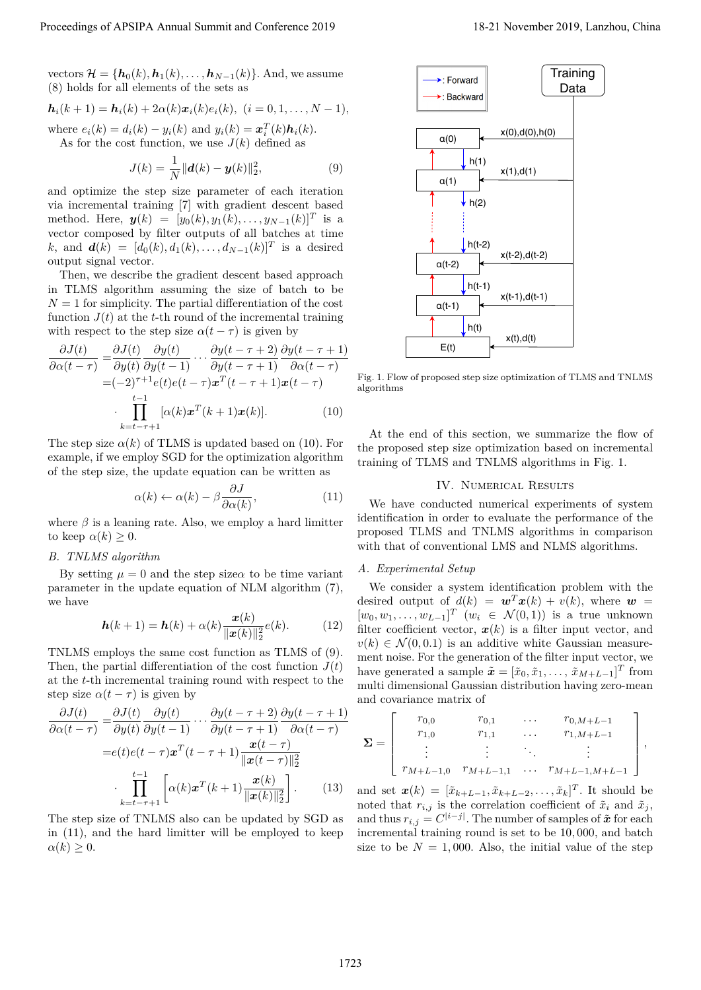vectors  $\mathcal{H} = \{\mathbf{h}_0(k), \mathbf{h}_1(k), \ldots, \mathbf{h}_{N-1}(k)\}\)$ . And, we assume (8) holds for all elements of the sets as

$$
\mathbf{h}_i(k+1) = \mathbf{h}_i(k) + 2\alpha(k)\mathbf{x}_i(k)e_i(k), \ (i = 0, 1, \ldots, N-1),
$$

where  $e_i(k) = d_i(k) - y_i(k)$  and  $y_i(k) = x_i^T(k)h_i(k)$ . As for the cost function, we use  $J(k)$  defined as

$$
J(k) = \frac{1}{N} ||\boldsymbol{d}(k) - \boldsymbol{y}(k)||_2^2,
$$
 (9)

and optimize the step size parameter of each iteration via incremental training [7] with gradient descent based method. Here,  $y(k) = [y_0(k), y_1(k), \ldots, y_{N-1}(k)]^T$  is a vector composed by filter outputs of all batches at time *k*, and  $d(k) = [d_0(k), d_1(k), \ldots, d_{N-1}(k)]^T$  is a desired output signal vector.

Then, we describe the gradient descent based approach in TLMS algorithm assuming the size of batch to be  $N = 1$  for simplicity. The partial differentiation of the cost function  $J(t)$  at the *t*-th round of the incremental training with respect to the step size  $\alpha(t-\tau)$  is given by

$$
\frac{\partial J(t)}{\partial \alpha(t-\tau)} = \frac{\partial J(t)}{\partial y(t)} \frac{\partial y(t)}{\partial y(t-1)} \cdots \frac{\partial y(t-\tau+2)}{\partial y(t-\tau+1)} \frac{\partial y(t-\tau+1)}{\partial \alpha(t-\tau)}
$$

$$
= (-2)^{\tau+1} e(t) e(t-\tau) \mathbf{x}^T(t-\tau+1) \mathbf{x}(t-\tau)
$$

$$
\cdot \prod_{k=t-\tau+1}^{t-1} [\alpha(k) \mathbf{x}^T(k+1) \mathbf{x}(k)]. \tag{10}
$$

The step size  $\alpha(k)$  of TLMS is updated based on (10). For example, if we employ SGD for the optimization algorithm of the step size, the update equation can be written as

$$
\alpha(k) \leftarrow \alpha(k) - \beta \frac{\partial J}{\partial \alpha(k)},\tag{11}
$$

where  $\beta$  is a leaning rate. Also, we employ a hard limitter to keep  $\alpha(k) \geq 0$ .

# *B. TNLMS algorithm*

By setting  $\mu = 0$  and the step size  $\alpha$  to be time variant parameter in the update equation of NLM algorithm (7), we have

$$
\mathbf{h}(k+1) = \mathbf{h}(k) + \alpha(k) \frac{\mathbf{x}(k)}{\|\mathbf{x}(k)\|_2^2} e(k).
$$
 (12)

TNLMS employs the same cost function as TLMS of (9). Then, the partial differentiation of the cost function  $J(t)$ at the *t*-th incremental training round with respect to the step size  $\alpha(t-\tau)$  is given by

$$
\frac{\partial J(t)}{\partial \alpha(t-\tau)} = \frac{\partial J(t)}{\partial y(t)} \frac{\partial y(t)}{\partial y(t-1)} \cdots \frac{\partial y(t-\tau+2)}{\partial y(t-\tau+1)} \frac{\partial y(t-\tau+1)}{\partial \alpha(t-\tau)}
$$

$$
= e(t)e(t-\tau)\boldsymbol{x}^{T}(t-\tau+1) \frac{\boldsymbol{x}(t-\tau)}{\|\boldsymbol{x}(t-\tau)\|_{2}^{2}}
$$

$$
\cdot \prod_{k=t-\tau+1}^{t-1} \left[ \alpha(k)\boldsymbol{x}^{T}(k+1) \frac{\boldsymbol{x}(k)}{\|\boldsymbol{x}(k)\|_{2}^{2}} \right].
$$
 (13)

The step size of TNLMS also can be updated by SGD as in (11), and the hard limitter will be employed to keep  $\alpha(k) \geq 0$ .



Fig. 1. Flow of proposed step size optimization of TLMS and TNLMS algorithms

At the end of this section, we summarize the flow of the proposed step size optimization based on incremental training of TLMS and TNLMS algorithms in Fig. 1.

# IV. Numerical Results

We have conducted numerical experiments of system identification in order to evaluate the performance of the proposed TLMS and TNLMS algorithms in comparison with that of conventional LMS and NLMS algorithms.

## *A. Experimental Setup*

We consider a system identification problem with the desired output of  $d(k) = \mathbf{w}^T \mathbf{x}(k) + v(k)$ , where  $\mathbf{w} =$  $[w_0, w_1, \ldots, w_{L-1}]^T$   $(w_i \in \mathcal{N}(0, 1))$  is a true unknown filter coefficient vector,  $x(k)$  is a filter input vector, and  $v(k) \in \mathcal{N}(0, 0.1)$  is an additive white Gaussian measurement noise. For the generation of the filter input vector, we have generated a sample  $\tilde{\boldsymbol{x}} = [\tilde{x}_0, \tilde{x}_1, \dots, \tilde{x}_{M+L-1}]^T$  from multi dimensional Gaussian distribution having zero-mean and covariance matrix of

$$
\Sigma = \begin{bmatrix} r_{0,0} & r_{0,1} & \cdots & r_{0,M+L-1} \\ r_{1,0} & r_{1,1} & \cdots & r_{1,M+L-1} \\ \vdots & \vdots & \ddots & \vdots \\ r_{M+L-1,0} & r_{M+L-1,1} & \cdots & r_{M+L-1,M+L-1} \end{bmatrix},
$$

and set  $x(k) = [\tilde{x}_{k+L-1}, \tilde{x}_{k+L-2}, \ldots, \tilde{x}_k]^T$ . It should be noted that  $r_{i,j}$  is the correlation coefficient of  $\tilde{x}_i$  and  $\tilde{x}_j$ , and thus  $r_{i,j} = C^{|i-j|}$ . The number of samples of  $\tilde{x}$  for each incremental training round is set to be 10*,* 000, and batch size to be  $N = 1,000$ . Also, the initial value of the step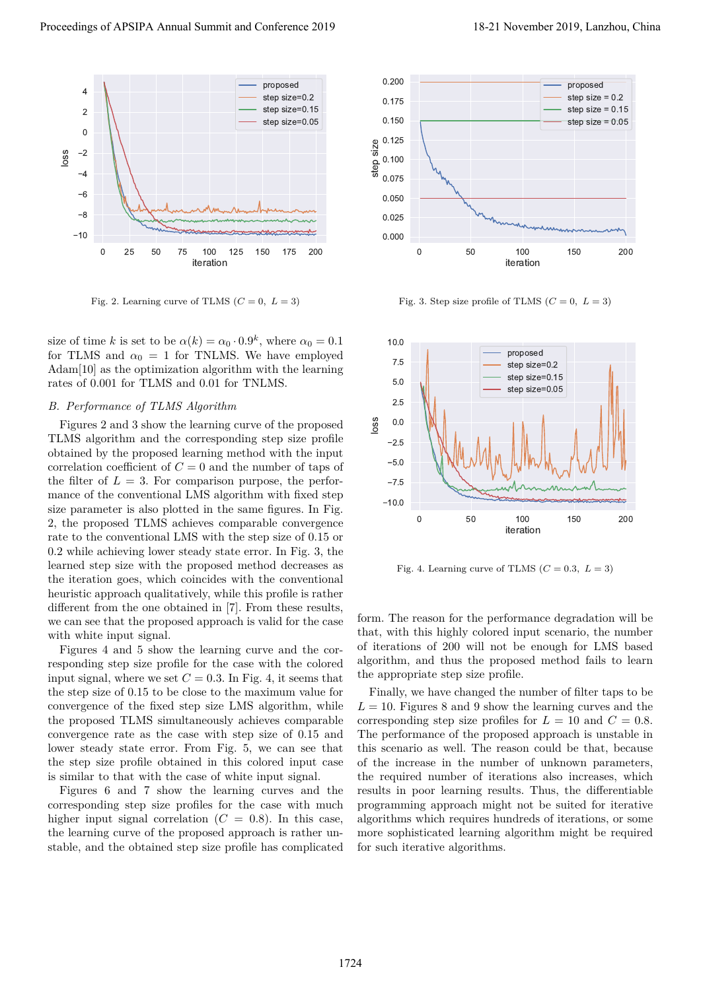

Fig. 2. Learning curve of TLMS  $(C = 0, L = 3)$ 

size of time *k* is set to be  $\alpha(k) = \alpha_0 \cdot 0.9^k$ , where  $\alpha_0 = 0.1$ for TLMS and  $\alpha_0 = 1$  for TNLMS. We have employed Adam<sup>[10]</sup> as the optimization algorithm with the learning rates of 0*.*001 for TLMS and 0*.*01 for TNLMS.

# *B. Performance of TLMS Algorithm*

Figures 2 and 3 show the learning curve of the proposed TLMS algorithm and the corresponding step size profile obtained by the proposed learning method with the input correlation coefficient of  $C = 0$  and the number of taps of the filter of  $L = 3$ . For comparison purpose, the performance of the conventional LMS algorithm with fixed step size parameter is also plotted in the same figures. In Fig. 2, the proposed TLMS achieves comparable convergence rate to the conventional LMS with the step size of 0.15 or 0.2 while achieving lower steady state error. In Fig. 3, the learned step size with the proposed method decreases as the iteration goes, which coincides with the conventional heuristic approach qualitatively, while this profile is rather different from the one obtained in [7]. From these results, we can see that the proposed approach is valid for the case with white input signal. Proceedings of APSIPA Annual Summit and Conference 2019<br>  $\frac{1}{2}$ <br>  $\frac{1}{2}$ <br>  $\frac{1}{2}$ <br>  $\frac{1}{2}$ <br>  $\frac{1}{2}$ <br>  $\frac{1}{2}$ <br>  $\frac{1}{2}$ <br>  $\frac{1}{2}$ <br>  $\frac{1}{2}$ <br>  $\frac{1}{2}$ <br>  $\frac{1}{2}$ <br>  $\frac{1}{2}$ <br>  $\frac{1}{2}$ <br>  $\frac{1}{2}$ <br>  $\frac{1}{2}$ <br>

Figures 4 and 5 show the learning curve and the corresponding step size profile for the case with the colored input signal, where we set  $C = 0.3$ . In Fig. 4, it seems that the step size of 0.15 to be close to the maximum value for convergence of the fixed step size LMS algorithm, while the proposed TLMS simultaneously achieves comparable convergence rate as the case with step size of 0.15 and lower steady state error. From Fig. 5, we can see that the step size profile obtained in this colored input case is similar to that with the case of white input signal.

Figures 6 and 7 show the learning curves and the corresponding step size profiles for the case with much higher input signal correlation  $(C = 0.8)$ . In this case, the learning curve of the proposed approach is rather unstable, and the obtained step size profile has complicated



Fig. 3. Step size profile of TLMS  $(C = 0, L = 3)$ 



Fig. 4. Learning curve of TLMS  $(C = 0.3, L = 3)$ 

form. The reason for the performance degradation will be that, with this highly colored input scenario, the number of iterations of 200 will not be enough for LMS based algorithm, and thus the proposed method fails to learn the appropriate step size profile.

Finally, we have changed the number of filter taps to be  $L = 10$ . Figures 8 and 9 show the learning curves and the corresponding step size profiles for  $L = 10$  and  $C = 0.8$ . The performance of the proposed approach is unstable in this scenario as well. The reason could be that, because of the increase in the number of unknown parameters, the required number of iterations also increases, which results in poor learning results. Thus, the differentiable programming approach might not be suited for iterative algorithms which requires hundreds of iterations, or some more sophisticated learning algorithm might be required for such iterative algorithms.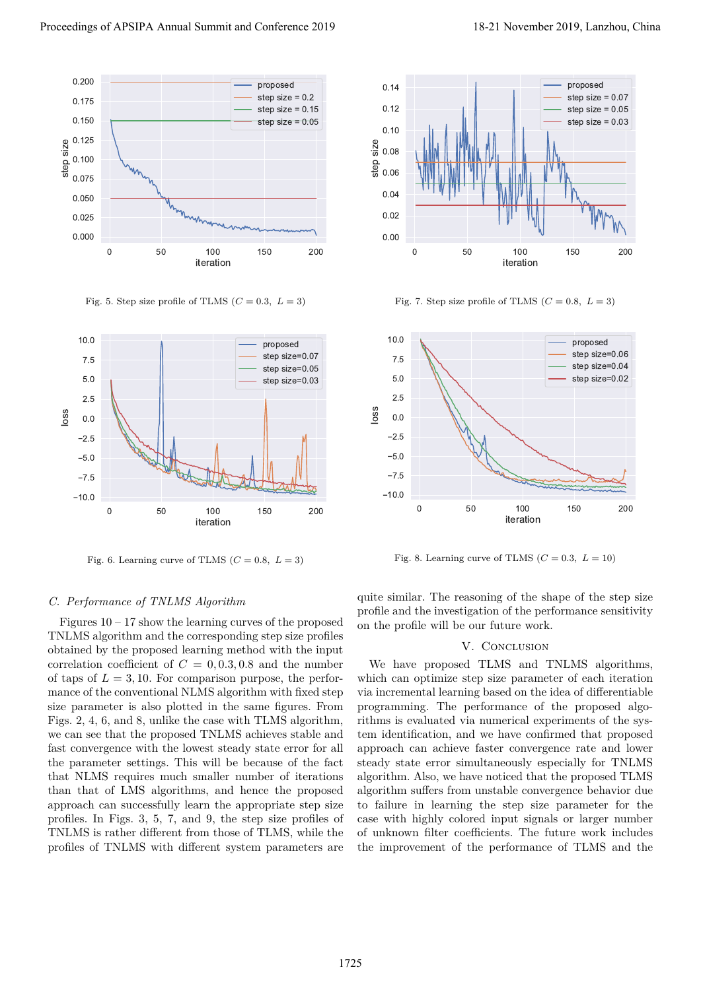

Fig. 5. Step size profile of TLMS  $(C = 0.3, L = 3)$ 



Fig. 6. Learning curve of TLMS  $(C = 0.8, L = 3)$ 



Fig. 7. Step size profile of TLMS  $(C = 0.8, L = 3)$ 



Fig. 8. Learning curve of TLMS  $(C = 0.3, L = 10)$ 

## *C. Performance of TNLMS Algorithm*

Figures  $10 - 17$  show the learning curves of the proposed TNLMS algorithm and the corresponding step size profiles obtained by the proposed learning method with the input correlation coefficient of  $C = 0, 0.3, 0.8$  and the number of taps of  $L = 3, 10$ . For comparison purpose, the performance of the conventional NLMS algorithm with fixed step size parameter is also plotted in the same figures. From Figs. 2, 4, 6, and 8, unlike the case with TLMS algorithm, we can see that the proposed TNLMS achieves stable and fast convergence with the lowest steady state error for all the parameter settings. This will be because of the fact that NLMS requires much smaller number of iterations than that of LMS algorithms, and hence the proposed approach can successfully learn the appropriate step size profiles. In Figs. 3, 5, 7, and 9, the step size profiles of TNLMS is rather different from those of TLMS, while the profiles of TNLMS with different system parameters are Proceeding of APSIPA Annual Summit and Conference 2019<br>
Conference 2019 18-21 November 2019<br>
Conference 2019 18-21 November 2019<br>
Conference 2019 18-21 November 2019<br>
Conference 2019 18-21 November 2019<br>
Conference 2019 1

quite similar. The reasoning of the shape of the step size profile and the investigation of the performance sensitivity on the profile will be our future work.

#### V. CONCLUSION

We have proposed TLMS and TNLMS algorithms, which can optimize step size parameter of each iteration via incremental learning based on the idea of differentiable programming. The performance of the proposed algorithms is evaluated via numerical experiments of the system identification, and we have confirmed that proposed approach can achieve faster convergence rate and lower steady state error simultaneously especially for TNLMS algorithm. Also, we have noticed that the proposed TLMS algorithm suffers from unstable convergence behavior due to failure in learning the step size parameter for the case with highly colored input signals or larger number of unknown filter coefficients. The future work includes the improvement of the performance of TLMS and the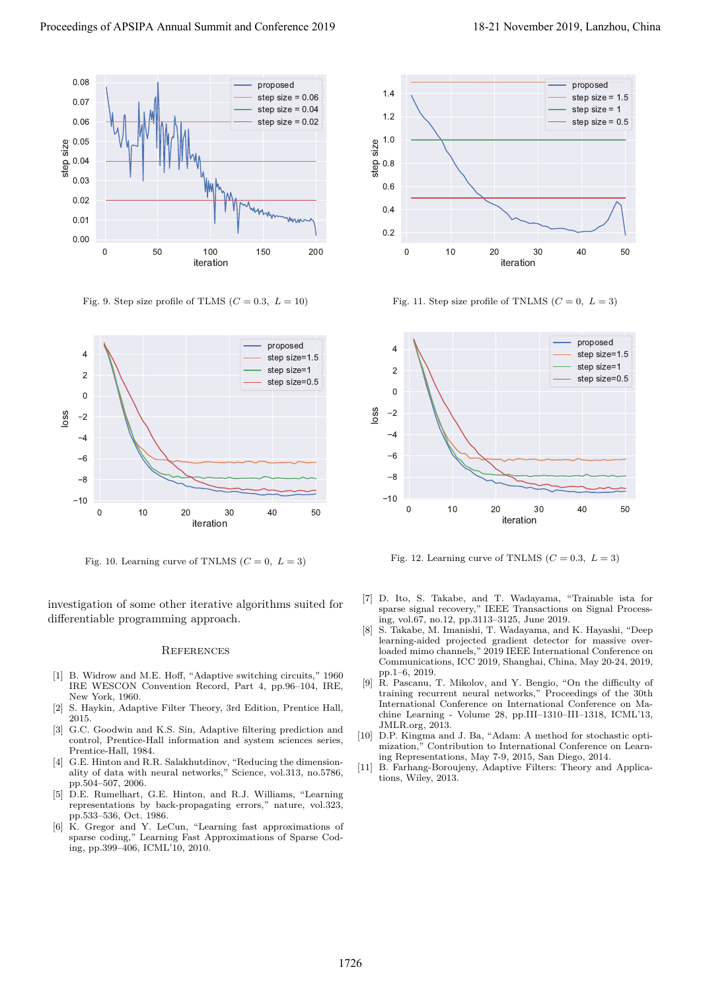

Fig. 9. Step size profile of TLMS  $(C = 0.3, L = 10)$ 



Fig. 10. Learning curve of TNLMS  $(C = 0, L = 3)$ 

investigation of some other iterative algorithms suited for differentiable programming approach.

## **REFERENCES**

- [1] B. Widrow and M.E. Hoff, "Adaptive switching circuits," 1960 IRE WESCON Convention Record, Part 4, pp.96–104, IRE, New York, 1960.
- [2] S. Haykin, Adaptive Filter Theory, 3rd Edition, Prentice Hall, 2015.
- [3] G.C. Goodwin and K.S. Sin, Adaptive filtering prediction and control, Prentice-Hall information and system sciences series, Prentice-Hall, 1984.
- [4] G.E. Hinton and R.R. Salakhutdinov, "Reducing the dimensionality of data with neural networks," Science, vol.313, no.5786, pp.504–507, 2006.
- [5] D.E. Rumelhart, G.E. Hinton, and R.J. Williams, "Learning representations by back-propagating errors," nature, vol.323, pp.533–536, Oct. 1986.
- [6] K. Gregor and Y. LeCun, "Learning fast approximations of sparse coding," Learning Fast Approximations of Sparse Coding, pp.399–406, ICML'10, 2010.



Fig. 11. Step size profile of TNLMS  $(C = 0, L = 3)$ 



Fig. 12. Learning curve of TNLMS  $(C = 0.3, L = 3)$ 

- [7] D. Ito, S. Takabe, and T. Wadayama, "Trainable ista for sparse signal recovery," IEEE Transactions on Signal Processing, vol.67, no.12, pp.3113–3125, June 2019.
- [8] S. Takabe, M. Imanishi, T. Wadayama, and K. Hayashi, "Deep learning-aided projected gradient detector for massive overloaded mimo channels," 2019 IEEE International Conference on Communications, ICC 2019, Shanghai, China, May 20-24, 2019, pp.1–6, 2019.
- [9] R. Pascanu, T. Mikolov, and Y. Bengio, "On the difficulty of training recurrent neural networks," Proceedings of the 30th International Conference on International Conference on Machine Learning - Volume 28, pp.III–1310–III–1318, ICML'13, JMLR.org, 2013.
- [10] D.P. Kingma and J. Ba, "Adam: A method for stochastic optimization," Contribution to International Conference on Learning Representations, May 7-9, 2015, San Diego, 2014.
- [11] B. Farhang-Boroujeny, Adaptive Filters: Theory and Applications, Wiley, 2013.